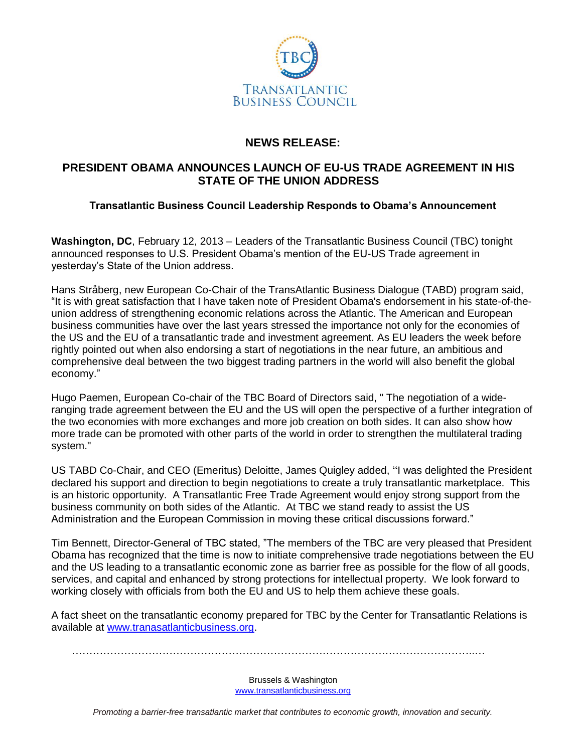

## **NEWS RELEASE:**

## **PRESIDENT OBAMA ANNOUNCES LAUNCH OF EU-US TRADE AGREEMENT IN HIS STATE OF THE UNION ADDRESS**

## **Transatlantic Business Council Leadership Responds to Obama's Announcement**

**Washington, DC**, February 12, 2013 – Leaders of the Transatlantic Business Council (TBC) tonight announced responses to U.S. President Obama's mention of the EU-US Trade agreement in yesterday's State of the Union address.

Hans Stråberg, new European Co-Chair of the TransAtlantic Business Dialogue (TABD) program said, "It is with great satisfaction that I have taken note of President Obama's endorsement in his state-of-theunion address of strengthening economic relations across the Atlantic. The American and European business communities have over the last years stressed the importance not only for the economies of the US and the EU of a transatlantic trade and investment agreement. As EU leaders the week before rightly pointed out when also endorsing a start of negotiations in the near future, an ambitious and comprehensive deal between the two biggest trading partners in the world will also benefit the global economy."

Hugo Paemen, European Co-chair of the TBC Board of Directors said, " The negotiation of a wideranging trade agreement between the EU and the US will open the perspective of a further integration of the two economies with more exchanges and more job creation on both sides. It can also show how more trade can be promoted with other parts of the world in order to strengthen the multilateral trading system."

US TABD Co-Chair, and CEO (Emeritus) Deloitte, James Quigley added, "I was delighted the President declared his support and direction to begin negotiations to create a truly transatlantic marketplace. This is an historic opportunity. A Transatlantic Free Trade Agreement would enjoy strong support from the business community on both sides of the Atlantic. At TBC we stand ready to assist the US Administration and the European Commission in moving these critical discussions forward."

Tim Bennett, Director-General of TBC stated, "The members of the TBC are very pleased that President Obama has recognized that the time is now to initiate comprehensive trade negotiations between the EU and the US leading to a transatlantic economic zone as barrier free as possible for the flow of all goods, services, and capital and enhanced by strong protections for intellectual property. We look forward to working closely with officials from both the EU and US to help them achieve these goals.

A fact sheet on the transatlantic economy prepared for TBC by the Center for Transatlantic Relations is available at [www.tranasatlanticbusiness.org.](http://www.tranasatlanticbusiness.org/)

……………………………………………………………………………………………………..…

Brussels & Washington www.transatlanticbusiness.org